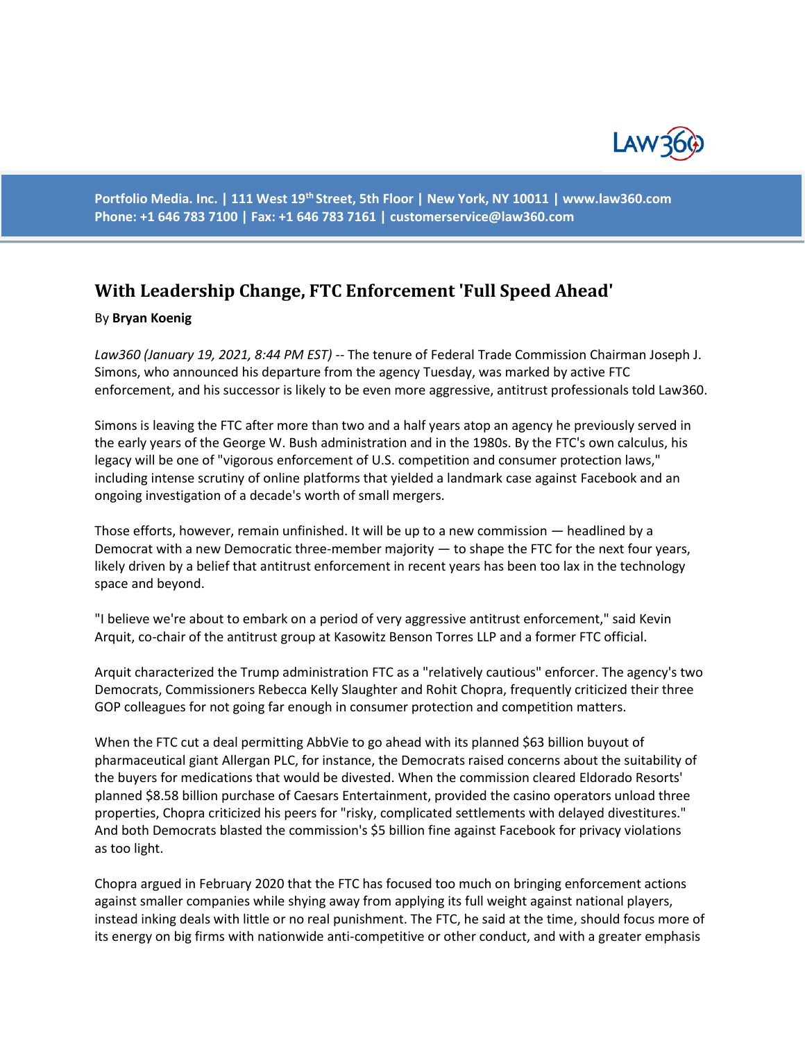

**Portfolio Media. Inc. | 111 West 19th Street, 5th Floor | New York, NY 10011 | www.law360.com Phone: +1 646 783 7100 | Fax: +1 646 783 7161 | customerservice@law360.com**

## **With Leadership Change, FTC Enforcement 'Full Speed Ahead'**

## By **Bryan Koenig**

*Law360 (January 19, 2021, 8:44 PM EST)* -- The tenure of Federal Trade Commission Chairman Joseph J. Simons, who announced his departure from the agency Tuesday, was marked by active FTC enforcement, and his successor is likely to be even more aggressive, antitrust professionals told Law360.

Simons is leaving the FTC after more than two and a half years atop an agency he previously served in the early years of the George W. Bush administration and in the 1980s. By the FTC's own calculus, his legacy will be one of "vigorous enforcement of U.S. competition and consumer protection laws," including intense scrutiny of online platforms that yielded a landmark case against Facebook and an ongoing investigation of a decade's worth of small mergers.

Those efforts, however, remain unfinished. It will be up to a new commission — headlined by a Democrat with a new Democratic three-member majority — to shape the FTC for the next four years, likely driven by a belief that antitrust enforcement in recent years has been too lax in the technology space and beyond.

"I believe we're about to embark on a period of very aggressive antitrust enforcement," said Kevin Arquit, co-chair of the antitrust group at Kasowitz Benson Torres LLP and a former FTC official.

Arquit characterized the Trump administration FTC as a "relatively cautious" enforcer. The agency's two Democrats, Commissioners Rebecca Kelly Slaughter and Rohit Chopra, frequently criticized their three GOP colleagues for not going far enough in consumer protection and competition matters.

When the FTC cut a deal permitting AbbVie to go ahead with its planned \$63 billion buyout of pharmaceutical giant Allergan PLC, for instance, the Democrats raised concerns about the suitability of the buyers for medications that would be divested. When the commission cleared Eldorado Resorts' planned \$8.58 billion purchase of Caesars Entertainment, provided the casino operators unload three properties, Chopra criticized his peers for "risky, complicated settlements with delayed divestitures." And both Democrats blasted the commission's \$5 billion fine against Facebook for privacy violations as too light.

Chopra argued in February 2020 that the FTC has focused too much on bringing enforcement actions against smaller companies while shying away from applying its full weight against national players, instead inking deals with little or no real punishment. The FTC, he said at the time, should focus more of its energy on big firms with nationwide anti-competitive or other conduct, and with a greater emphasis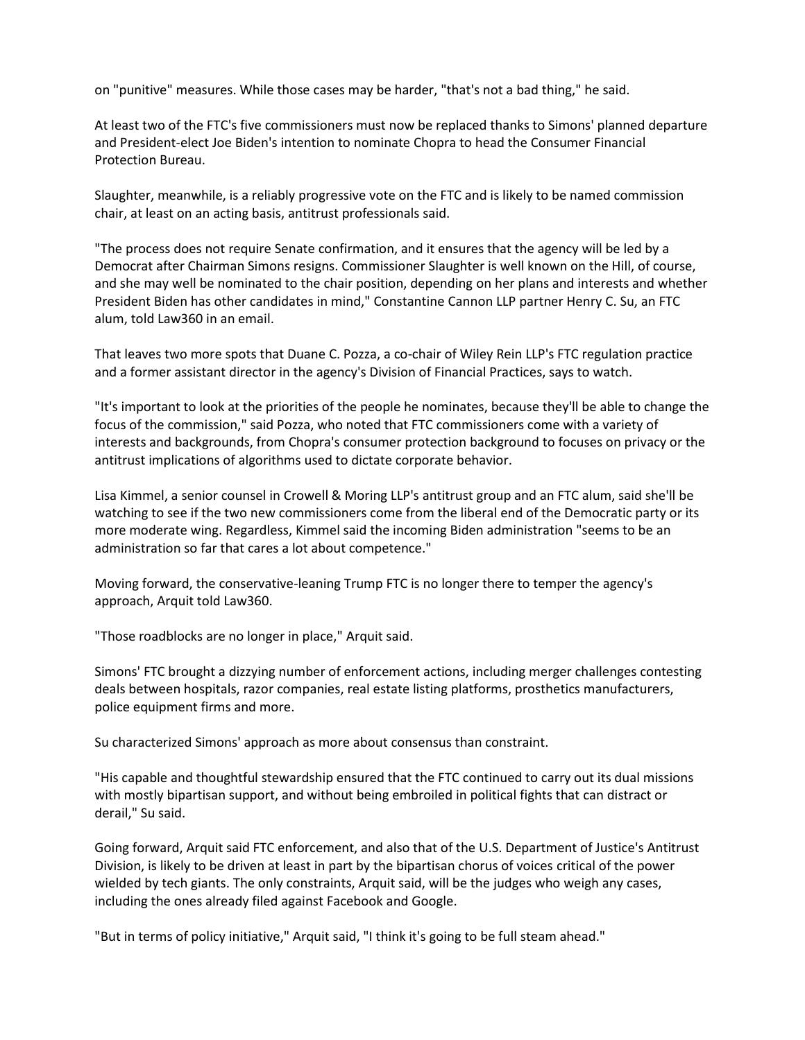on "punitive" measures. While those cases may be harder, "that's not a bad thing," he said.

At least two of the FTC's five commissioners must now be replaced thanks to Simons' planned departure and President-elect Joe Biden's intention to nominate Chopra to head the Consumer Financial Protection Bureau.

Slaughter, meanwhile, is a reliably progressive vote on the FTC and is likely to be named commission chair, at least on an acting basis, antitrust professionals said.

"The process does not require Senate confirmation, and it ensures that the agency will be led by a Democrat after Chairman Simons resigns. Commissioner Slaughter is well known on the Hill, of course, and she may well be nominated to the chair position, depending on her plans and interests and whether President Biden has other candidates in mind," Constantine Cannon LLP partner Henry C. Su, an FTC alum, told Law360 in an email.

That leaves two more spots that Duane C. Pozza, a co-chair of Wiley Rein LLP's FTC regulation practice and a former assistant director in the agency's Division of Financial Practices, says to watch.

"It's important to look at the priorities of the people he nominates, because they'll be able to change the focus of the commission," said Pozza, who noted that FTC commissioners come with a variety of interests and backgrounds, from Chopra's consumer protection background to focuses on privacy or the antitrust implications of algorithms used to dictate corporate behavior.

Lisa Kimmel, a senior counsel in Crowell & Moring LLP's antitrust group and an FTC alum, said she'll be watching to see if the two new commissioners come from the liberal end of the Democratic party or its more moderate wing. Regardless, Kimmel said the incoming Biden administration "seems to be an administration so far that cares a lot about competence."

Moving forward, the conservative-leaning Trump FTC is no longer there to temper the agency's approach, Arquit told Law360.

"Those roadblocks are no longer in place," Arquit said.

Simons' FTC brought a dizzying number of enforcement actions, including merger challenges contesting deals between hospitals, razor companies, real estate listing platforms, prosthetics manufacturers, police equipment firms and more.

Su characterized Simons' approach as more about consensus than constraint.

"His capable and thoughtful stewardship ensured that the FTC continued to carry out its dual missions with mostly bipartisan support, and without being embroiled in political fights that can distract or derail," Su said.

Going forward, Arquit said FTC enforcement, and also that of the U.S. Department of Justice's Antitrust Division, is likely to be driven at least in part by the bipartisan chorus of voices critical of the power wielded by tech giants. The only constraints, Arquit said, will be the judges who weigh any cases, including the ones already filed against Facebook and Google.

"But in terms of policy initiative," Arquit said, "I think it's going to be full steam ahead."